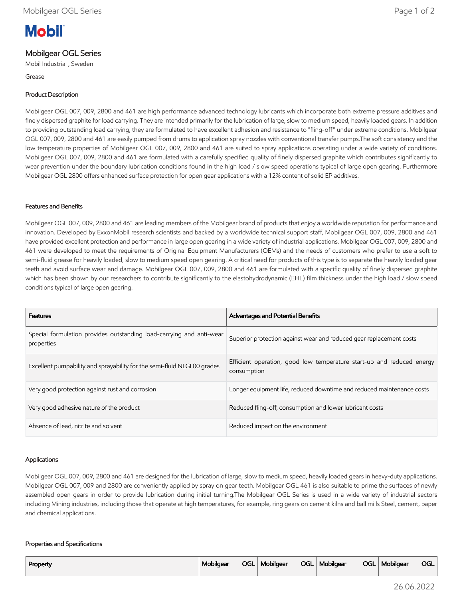# **Mobil**

## Mobilgear OGL Series

Mobil Industrial , Sweden

Grease

#### Product Description

Mobilgear OGL 007, 009, 2800 and 461 are high performance advanced technology lubricants which incorporate both extreme pressure additives and finely dispersed graphite for load carrying. They are intended primarily for the lubrication of large, slow to medium speed, heavily loaded gears. In addition to providing outstanding load carrying, they are formulated to have excellent adhesion and resistance to "fling-off" under extreme conditions. Mobilgear OGL 007, 009, 2800 and 461 are easily pumped from drums to application spray nozzles with conventional transfer pumps.The soft consistency and the low temperature properties of Mobilgear OGL 007, 009, 2800 and 461 are suited to spray applications operating under a wide variety of conditions. Mobilgear OGL 007, 009, 2800 and 461 are formulated with a carefully specified quality of finely dispersed graphite which contributes significantly to wear prevention under the boundary lubrication conditions found in the high load / slow speed operations typical of large open gearing. Furthermore Mobilgear OGL 2800 offers enhanced surface protection for open gear applications with a 12% content of solid EP additives.

#### Features and Benefits

Mobilgear OGL 007, 009, 2800 and 461 are leading members of the Mobilgear brand of products that enjoy a worldwide reputation for performance and innovation. Developed by ExxonMobil research scientists and backed by a worldwide technical support staff, Mobilgear OGL 007, 009, 2800 and 461 have provided excellent protection and performance in large open gearing in a wide variety of industrial applications. Mobilgear OGL 007, 009, 2800 and 461 were developed to meet the requirements of Original Equipment Manufacturers (OEMs) and the needs of customers who prefer to use a soft to semi-fluid grease for heavily loaded, slow to medium speed open gearing. A critical need for products of this type is to separate the heavily loaded gear teeth and avoid surface wear and damage. Mobilgear OGL 007, 009, 2800 and 461 are formulated with a specific quality of finely dispersed graphite which has been shown by our researchers to contribute significantly to the elastohydrodynamic (EHL) film thickness under the high load / slow speed conditions typical of large open gearing.

| <b>Features</b>                                                                    | <b>Advantages and Potential Benefits</b>                                             |
|------------------------------------------------------------------------------------|--------------------------------------------------------------------------------------|
| Special formulation provides outstanding load-carrying and anti-wear<br>properties | Superior protection against wear and reduced gear replacement costs                  |
| Excellent pumpability and sprayability for the semi-fluid NLGI 00 grades           | Efficient operation, good low temperature start-up and reduced energy<br>consumption |
| Very good protection against rust and corrosion                                    | Longer equipment life, reduced downtime and reduced maintenance costs                |
| Very good adhesive nature of the product                                           | Reduced fling-off, consumption and lower lubricant costs                             |
| Absence of lead, nitrite and solvent                                               | Reduced impact on the environment                                                    |

#### Applications

Mobilgear OGL 007, 009, 2800 and 461 are designed for the lubrication of large, slow to medium speed, heavily loaded gears in heavy-duty applications. Mobilgear OGL 007, 009 and 2800 are conveniently applied by spray on gear teeth. Mobilgear OGL 461 is also suitable to prime the surfaces of newly assembled open gears in order to provide lubrication during initial turning.The Mobilgear OGL Series is used in a wide variety of industrial sectors including Mining industries, including those that operate at high temperatures, for example, ring gears on cement kilns and ball mills Steel, cement, paper and chemical applications.

#### Properties and Specifications

| Property | Mobilgear |  | OGL   Mobilgear |  | OGL   Mobilgear |  | OGL   Mobilgear | <b>OGL</b> |
|----------|-----------|--|-----------------|--|-----------------|--|-----------------|------------|
|----------|-----------|--|-----------------|--|-----------------|--|-----------------|------------|